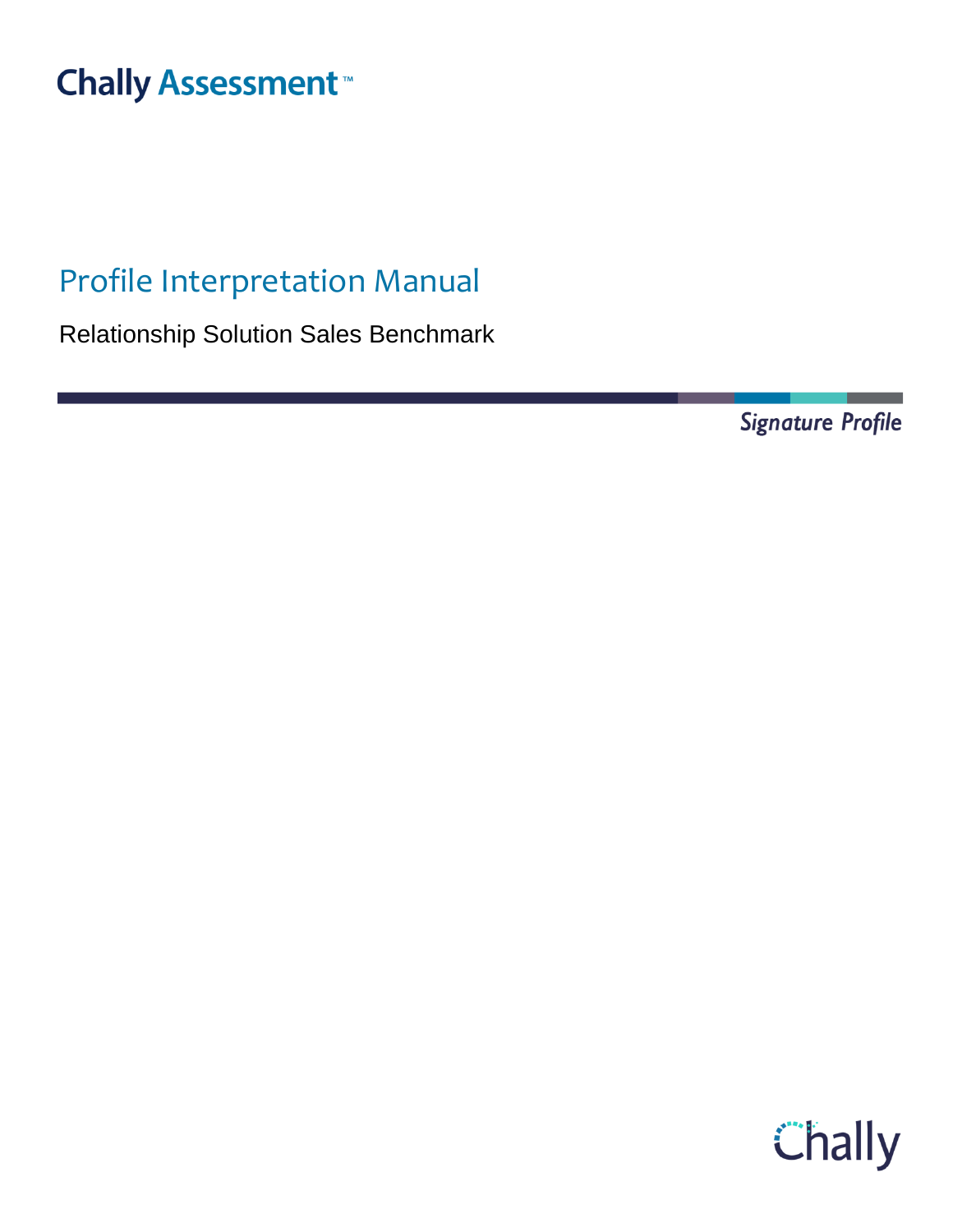# **Chally Assessment**<sup>™</sup>

## Profile Interpretation Manual

Relationship Solution Sales Benchmark

Signature Profile

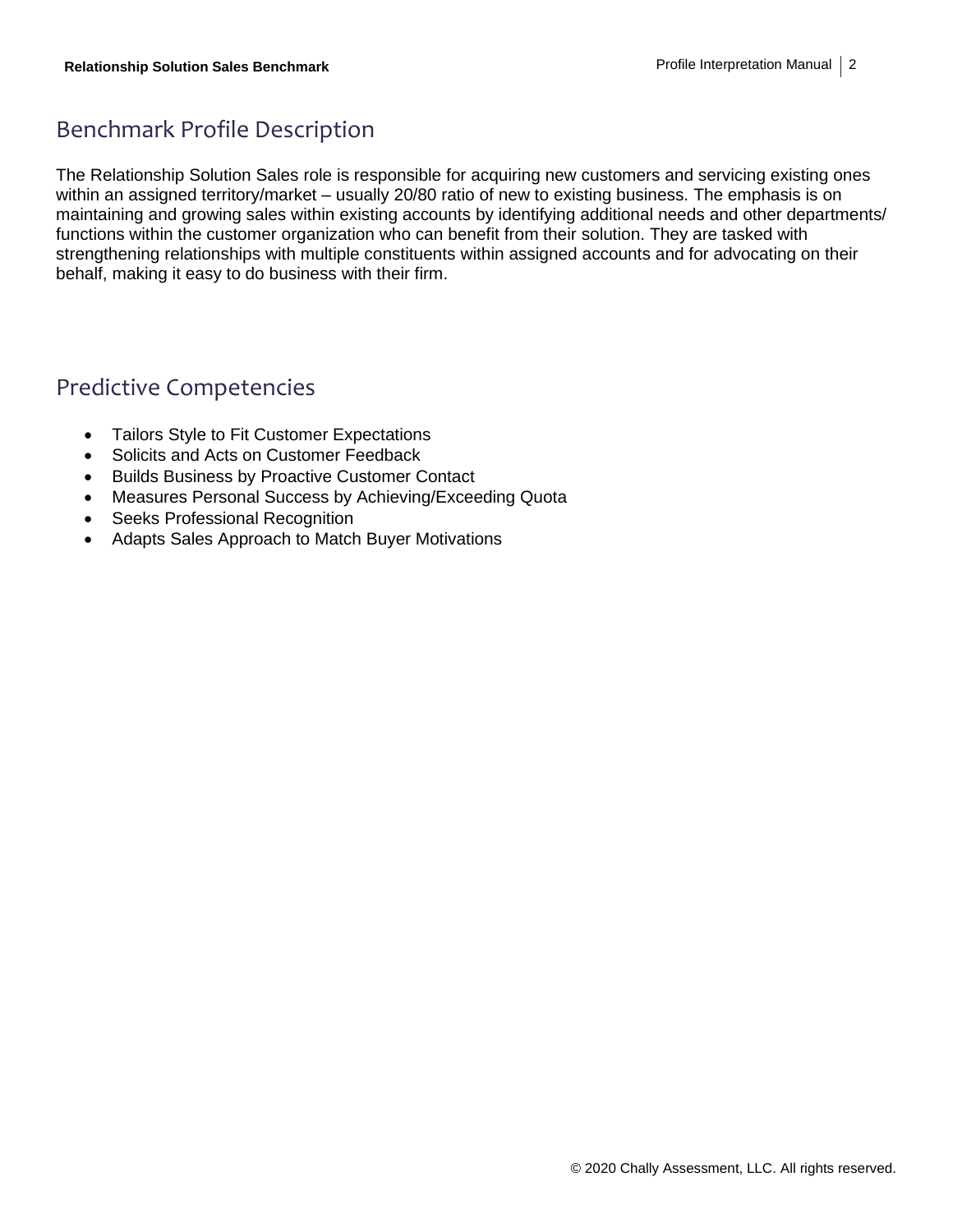## Benchmark Profile Description

The Relationship Solution Sales role is responsible for acquiring new customers and servicing existing ones within an assigned territory/market – usually 20/80 ratio of new to existing business. The emphasis is on maintaining and growing sales within existing accounts by identifying additional needs and other departments/ functions within the customer organization who can benefit from their solution. They are tasked with strengthening relationships with multiple constituents within assigned accounts and for advocating on their behalf, making it easy to do business with their firm.

## Predictive Competencies

- Tailors Style to Fit Customer Expectations
- Solicits and Acts on Customer Feedback
- Builds Business by Proactive Customer Contact
- Measures Personal Success by Achieving/Exceeding Quota
- Seeks Professional Recognition
- Adapts Sales Approach to Match Buyer Motivations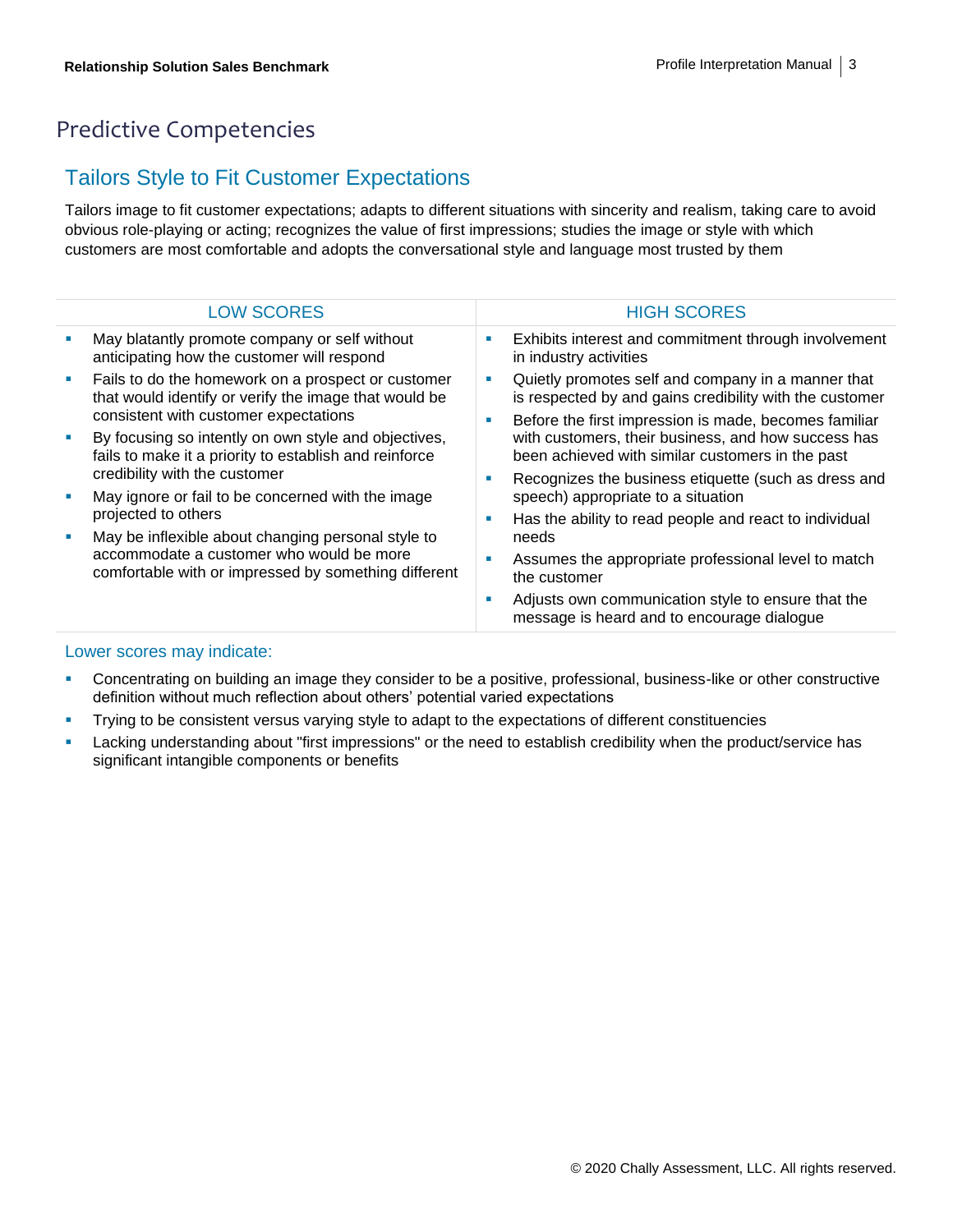## Predictive Competencies

#### Tailors Style to Fit Customer Expectations

Tailors image to fit customer expectations; adapts to different situations with sincerity and realism, taking care to avoid obvious role-playing or acting; recognizes the value of first impressions; studies the image or style with which customers are most comfortable and adopts the conversational style and language most trusted by them

| <b>LOW SCORES</b>                                                                                                                                      | <b>HIGH SCORES</b>                                                                                                                                                               |
|--------------------------------------------------------------------------------------------------------------------------------------------------------|----------------------------------------------------------------------------------------------------------------------------------------------------------------------------------|
| May blatantly promote company or self without<br>anticipating how the customer will respond                                                            | Exhibits interest and commitment through involvement<br>in industry activities                                                                                                   |
| Fails to do the homework on a prospect or customer<br>that would identify or verify the image that would be<br>consistent with customer expectations   | Quietly promotes self and company in a manner that<br>ш<br>is respected by and gains credibility with the customer<br>Before the first impression is made, becomes familiar<br>× |
| By focusing so intently on own style and objectives,<br>fails to make it a priority to establish and reinforce<br>credibility with the customer        | with customers, their business, and how success has<br>been achieved with similar customers in the past<br>Recognizes the business etiquette (such as dress and<br>ш             |
| May ignore or fail to be concerned with the image<br>projected to others                                                                               | speech) appropriate to a situation                                                                                                                                               |
| May be inflexible about changing personal style to<br>accommodate a customer who would be more<br>comfortable with or impressed by something different | Has the ability to read people and react to individual<br>ш<br>needs                                                                                                             |
|                                                                                                                                                        | Assumes the appropriate professional level to match<br>the customer                                                                                                              |
|                                                                                                                                                        | Adjusts own communication style to ensure that the<br>ш<br>message is heard and to encourage dialogue                                                                            |

- Concentrating on building an image they consider to be a positive, professional, business-like or other constructive definition without much reflection about others' potential varied expectations
- **·** Trying to be consistent versus varying style to adapt to the expectations of different constituencies
- **EXECT Lacking understanding about "first impressions" or the need to establish credibility when the product/service has** significant intangible components or benefits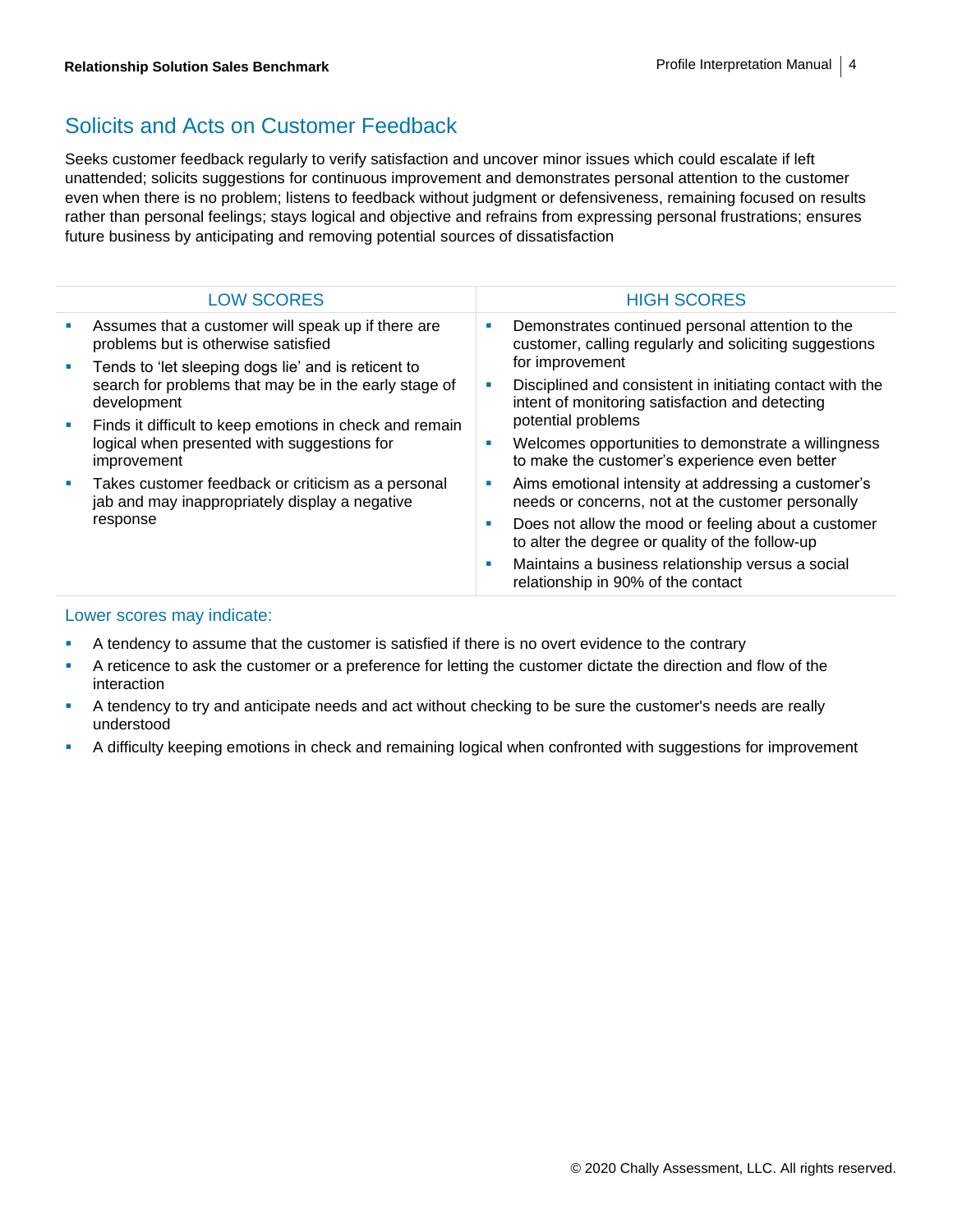## Solicits and Acts on Customer Feedback

Seeks customer feedback regularly to verify satisfaction and uncover minor issues which could escalate if left unattended; solicits suggestions for continuous improvement and demonstrates personal attention to the customer even when there is no problem; listens to feedback without judgment or defensiveness, remaining focused on results rather than personal feelings; stays logical and objective and refrains from expressing personal frustrations; ensures future business by anticipating and removing potential sources of dissatisfaction

|  | <b>LOW SCORES</b>                                                                                                     |                 | <b>HIGH SCORES</b>                                                                                           |
|--|-----------------------------------------------------------------------------------------------------------------------|-----------------|--------------------------------------------------------------------------------------------------------------|
|  | Assumes that a customer will speak up if there are<br>problems but is otherwise satisfied                             |                 | Demonstrates continued personal attention to the<br>customer, calling regularly and soliciting suggestions   |
|  | Tends to 'let sleeping dogs lie' and is reticent to                                                                   | for improvement |                                                                                                              |
|  | search for problems that may be in the early stage of<br>development                                                  |                 | Disciplined and consistent in initiating contact with the<br>intent of monitoring satisfaction and detecting |
|  | Finds it difficult to keep emotions in check and remain<br>logical when presented with suggestions for<br>improvement |                 | potential problems                                                                                           |
|  |                                                                                                                       |                 | Welcomes opportunities to demonstrate a willingness<br>to make the customer's experience even better         |
|  | Takes customer feedback or criticism as a personal<br>jab and may inappropriately display a negative<br>response      |                 | Aims emotional intensity at addressing a customer's<br>needs or concerns, not at the customer personally     |
|  |                                                                                                                       |                 | Does not allow the mood or feeling about a customer<br>to alter the degree or quality of the follow-up       |
|  |                                                                                                                       |                 | Maintains a business relationship versus a social<br>relationship in 90% of the contact                      |

- **•** A tendency to assume that the customer is satisfied if there is no overt evidence to the contrary
- **•** A reticence to ask the customer or a preference for letting the customer dictate the direction and flow of the interaction
- **EXT** A tendency to try and anticipate needs and act without checking to be sure the customer's needs are really understood
- A difficulty keeping emotions in check and remaining logical when confronted with suggestions for improvement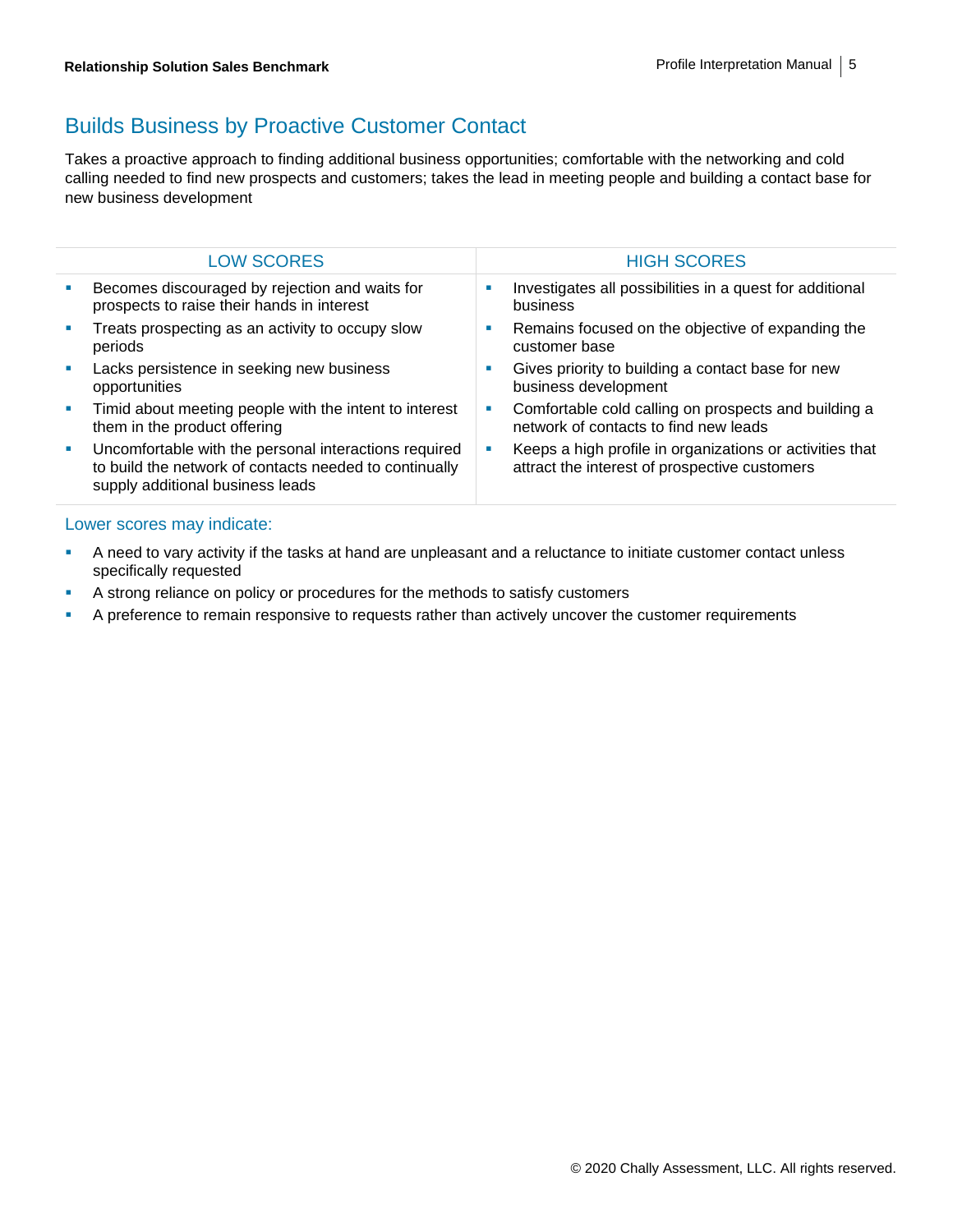## Builds Business by Proactive Customer Contact

Takes a proactive approach to finding additional business opportunities; comfortable with the networking and cold calling needed to find new prospects and customers; takes the lead in meeting people and building a contact base for new business development

| <b>LOW SCORES</b>                                                                                                                                   |    | <b>HIGH SCORES</b>                                                                                        |
|-----------------------------------------------------------------------------------------------------------------------------------------------------|----|-----------------------------------------------------------------------------------------------------------|
| Becomes discouraged by rejection and waits for<br>prospects to raise their hands in interest                                                        |    | Investigates all possibilities in a quest for additional<br>business                                      |
| Treats prospecting as an activity to occupy slow<br>periods                                                                                         | L. | Remains focused on the objective of expanding the<br>customer base                                        |
| Lacks persistence in seeking new business<br>opportunities                                                                                          | п  | Gives priority to building a contact base for new<br>business development                                 |
| Timid about meeting people with the intent to interest<br>them in the product offering                                                              | L. | Comfortable cold calling on prospects and building a<br>network of contacts to find new leads             |
| Uncomfortable with the personal interactions required<br>to build the network of contacts needed to continually<br>supply additional business leads |    | Keeps a high profile in organizations or activities that<br>attract the interest of prospective customers |

- **•** A need to vary activity if the tasks at hand are unpleasant and a reluctance to initiate customer contact unless specifically requested
- **EXECUTE:** A strong reliance on policy or procedures for the methods to satisfy customers
- **EXECT** A preference to remain responsive to requests rather than actively uncover the customer requirements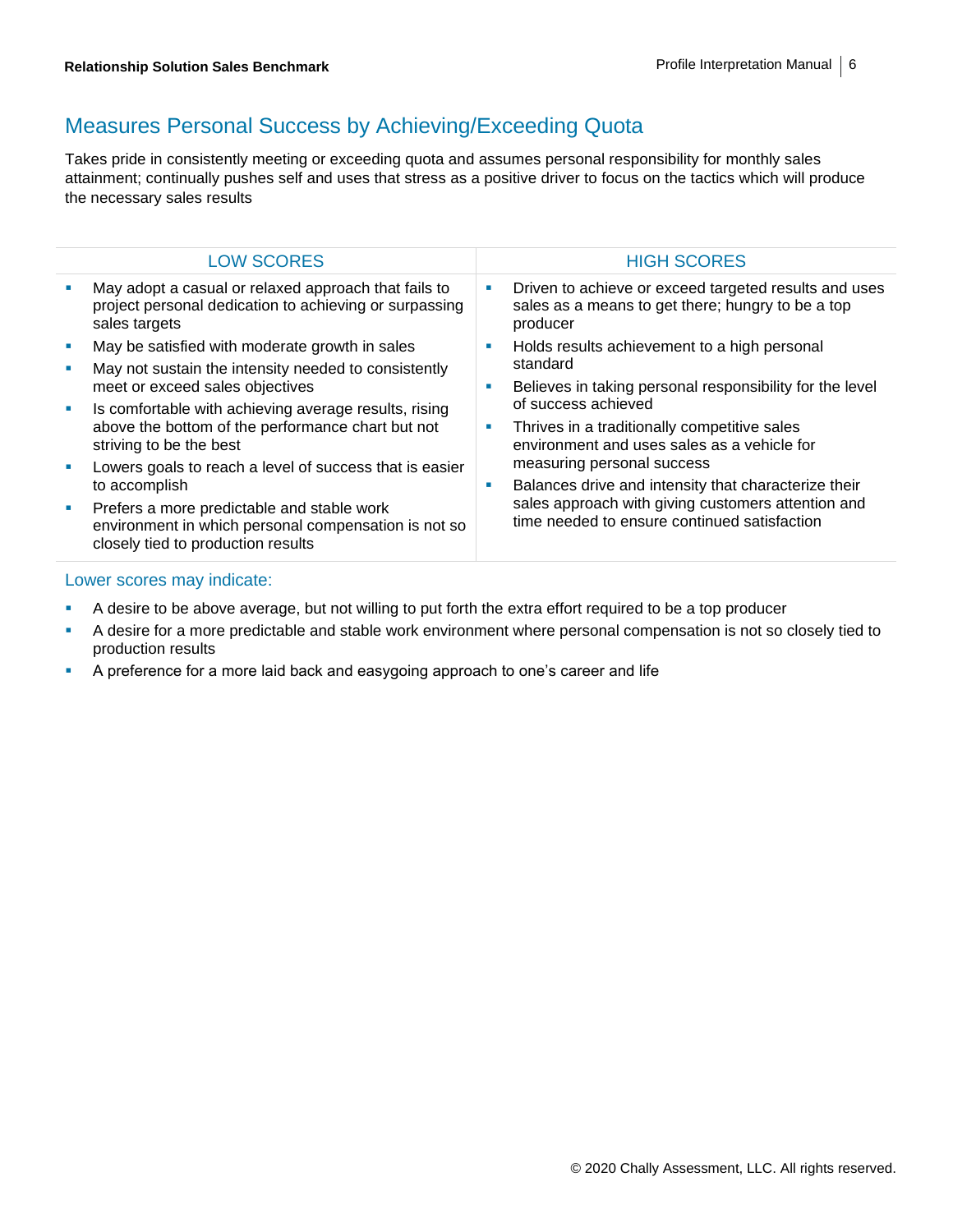#### Measures Personal Success by Achieving/Exceeding Quota

Takes pride in consistently meeting or exceeding quota and assumes personal responsibility for monthly sales attainment; continually pushes self and uses that stress as a positive driver to focus on the tactics which will produce the necessary sales results

| <b>LOW SCORES</b>                                                                                                                        |                                                                                                                                     | <b>HIGH SCORES</b>                                                                                                     |
|------------------------------------------------------------------------------------------------------------------------------------------|-------------------------------------------------------------------------------------------------------------------------------------|------------------------------------------------------------------------------------------------------------------------|
| May adopt a casual or relaxed approach that fails to<br>project personal dedication to achieving or surpassing<br>sales targets          | ш                                                                                                                                   | Driven to achieve or exceed targeted results and uses<br>sales as a means to get there; hungry to be a top<br>producer |
| May be satisfied with moderate growth in sales<br>May not sustain the intensity needed to consistently                                   | ш<br>standard<br>L.<br>of success achieved<br>Thrives in a traditionally competitive sales<br>U,<br>measuring personal success<br>п | Holds results achievement to a high personal                                                                           |
| meet or exceed sales objectives                                                                                                          |                                                                                                                                     | Believes in taking personal responsibility for the level                                                               |
| Is comfortable with achieving average results, rising<br>above the bottom of the performance chart but not<br>striving to be the best    |                                                                                                                                     | environment and uses sales as a vehicle for                                                                            |
| Lowers goals to reach a level of success that is easier<br>to accomplish                                                                 |                                                                                                                                     | Balances drive and intensity that characterize their                                                                   |
| Prefers a more predictable and stable work<br>environment in which personal compensation is not so<br>closely tied to production results |                                                                                                                                     | sales approach with giving customers attention and<br>time needed to ensure continued satisfaction                     |
|                                                                                                                                          |                                                                                                                                     |                                                                                                                        |

- A desire to be above average, but not willing to put forth the extra effort required to be a top producer
- **EXECT** A desire for a more predictable and stable work environment where personal compensation is not so closely tied to production results
- **•** A preference for a more laid back and easygoing approach to one's career and life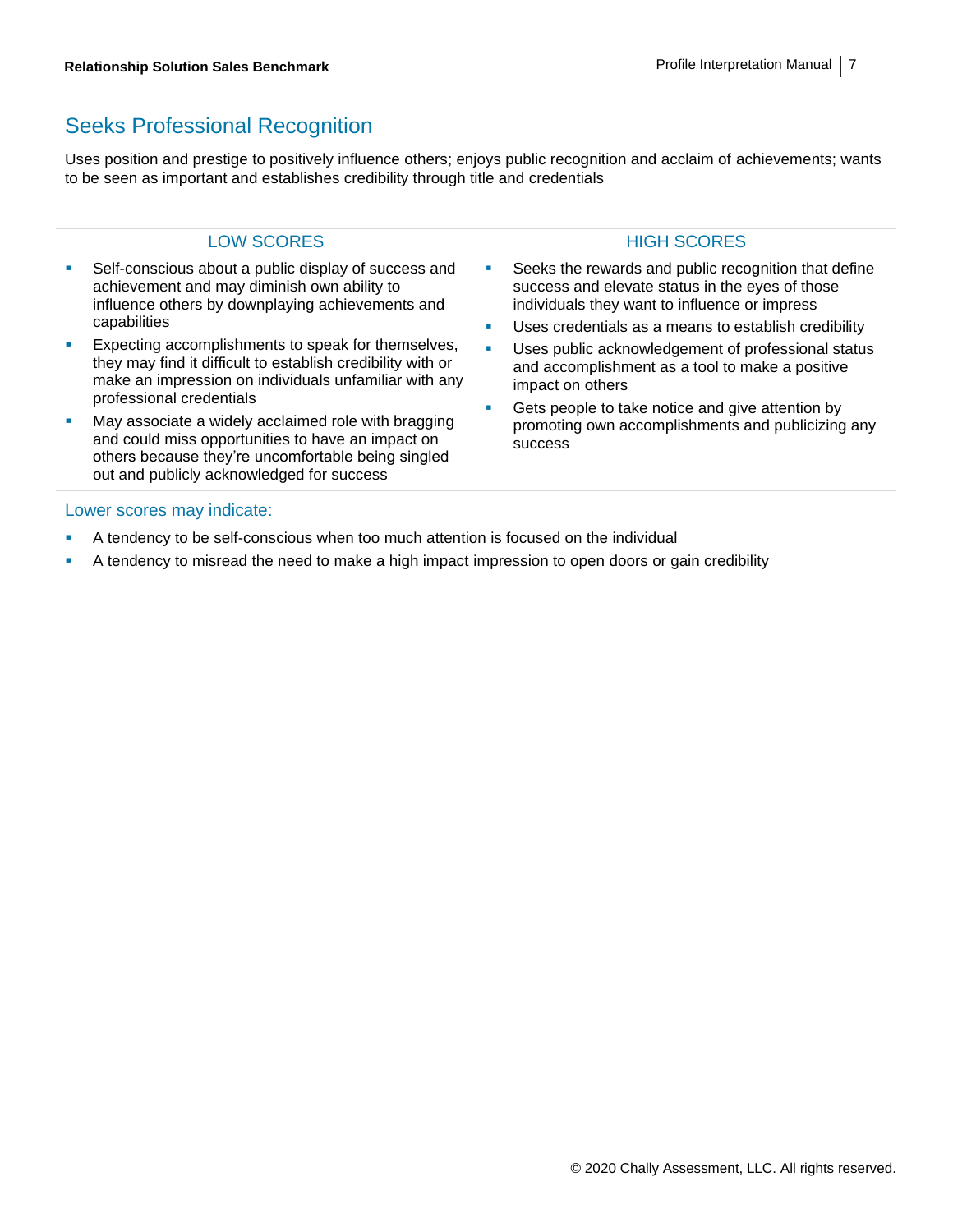#### Seeks Professional Recognition

Uses position and prestige to positively influence others; enjoys public recognition and acclaim of achievements; wants to be seen as important and establishes credibility through title and credentials

| <b>LOW SCORES</b>                                                                                                                                                                                           |                                                                                        | <b>HIGH SCORES</b>                                                                                                                                                                                               |
|-------------------------------------------------------------------------------------------------------------------------------------------------------------------------------------------------------------|----------------------------------------------------------------------------------------|------------------------------------------------------------------------------------------------------------------------------------------------------------------------------------------------------------------|
| Self-conscious about a public display of success and<br>achievement and may diminish own ability to<br>influence others by downplaying achievements and<br>capabilities                                     | ш<br>a.                                                                                | Seeks the rewards and public recognition that define<br>success and elevate status in the eyes of those<br>individuals they want to influence or impress<br>Uses credentials as a means to establish credibility |
| Expecting accomplishments to speak for themselves,<br>they may find it difficult to establish credibility with or<br>make an impression on individuals unfamiliar with any<br>professional credentials      | impact on others<br>Gets people to take notice and give attention by<br><b>SUCCESS</b> | Uses public acknowledgement of professional status<br>and accomplishment as a tool to make a positive                                                                                                            |
| May associate a widely acclaimed role with bragging<br>and could miss opportunities to have an impact on<br>others because they're uncomfortable being singled<br>out and publicly acknowledged for success |                                                                                        | promoting own accomplishments and publicizing any                                                                                                                                                                |
|                                                                                                                                                                                                             |                                                                                        |                                                                                                                                                                                                                  |

- **EXECT** A tendency to be self-conscious when too much attention is focused on the individual
- A tendency to misread the need to make a high impact impression to open doors or gain credibility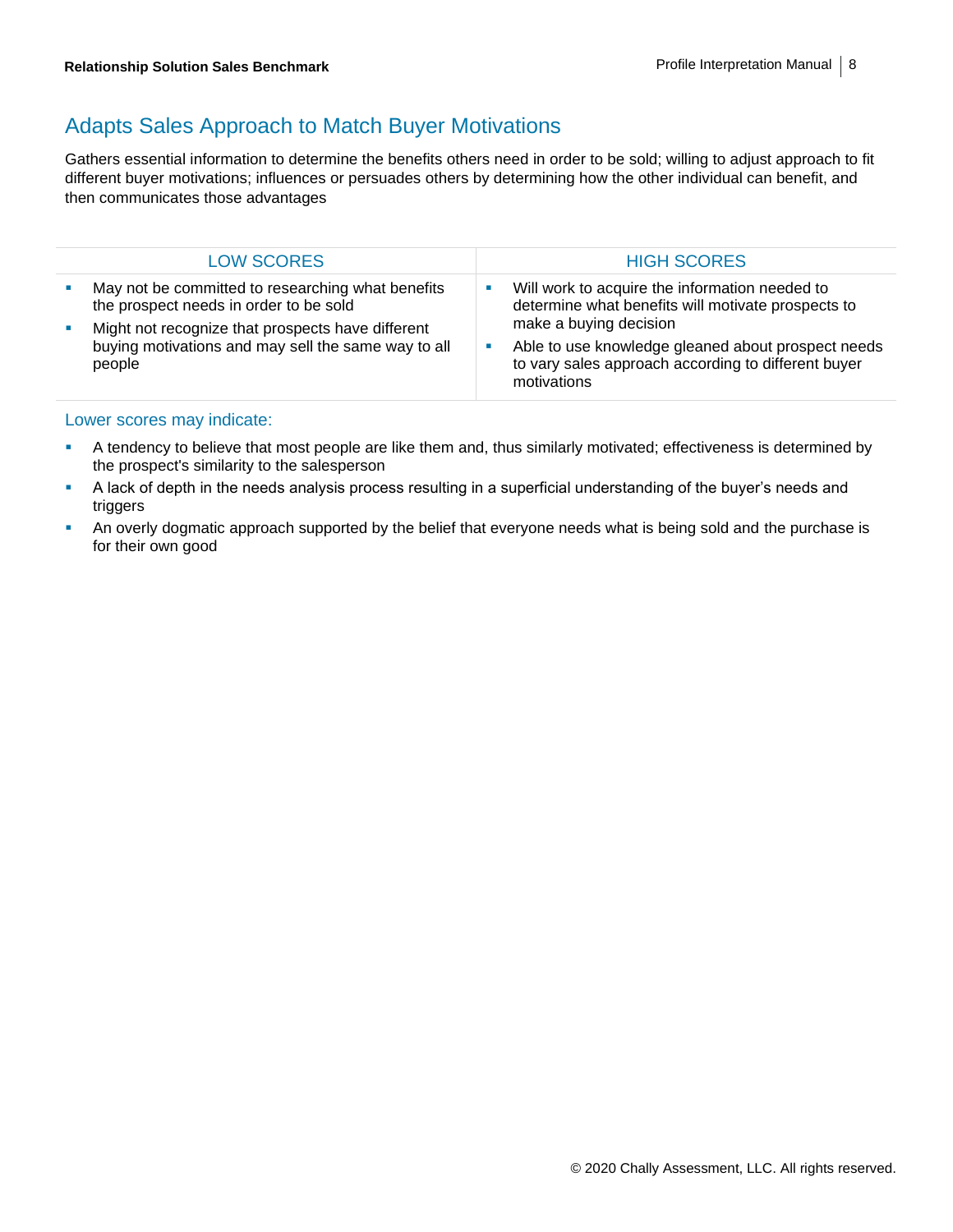## Adapts Sales Approach to Match Buyer Motivations

Gathers essential information to determine the benefits others need in order to be sold; willing to adjust approach to fit different buyer motivations; influences or persuades others by determining how the other individual can benefit, and then communicates those advantages

| <b>LOW SCORES</b>                                                                                                                                                                                                 | <b>HIGH SCORES</b>                                                                                                                                                                                                                                         |
|-------------------------------------------------------------------------------------------------------------------------------------------------------------------------------------------------------------------|------------------------------------------------------------------------------------------------------------------------------------------------------------------------------------------------------------------------------------------------------------|
| May not be committed to researching what benefits<br>the prospect needs in order to be sold<br>Might not recognize that prospects have different<br>buying motivations and may sell the same way to all<br>people | Will work to acquire the information needed to<br>determine what benefits will motivate prospects to<br>make a buying decision<br>Able to use knowledge gleaned about prospect needs<br>to vary sales approach according to different buyer<br>motivations |

- **EXECT** A tendency to believe that most people are like them and, thus similarly motivated; effectiveness is determined by the prospect's similarity to the salesperson
- A lack of depth in the needs analysis process resulting in a superficial understanding of the buyer's needs and triggers
- **•** An overly dogmatic approach supported by the belief that everyone needs what is being sold and the purchase is for their own good